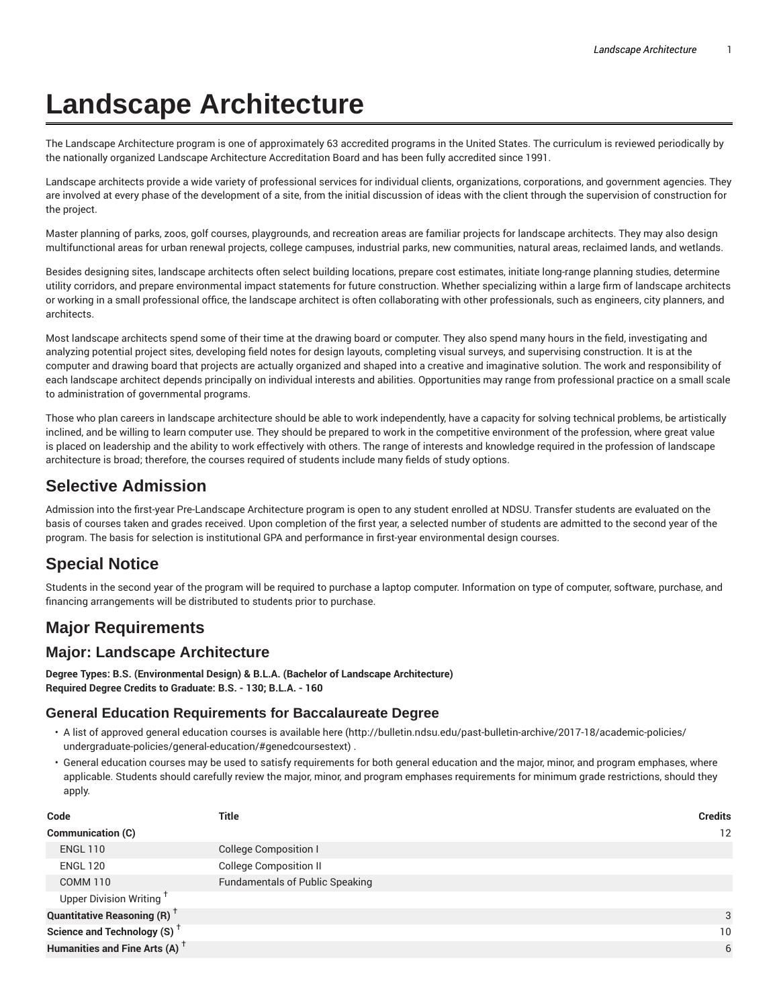# **Landscape Architecture**

The Landscape Architecture program is one of approximately 63 accredited programs in the United States. The curriculum is reviewed periodically by the nationally organized Landscape Architecture Accreditation Board and has been fully accredited since 1991.

Landscape architects provide a wide variety of professional services for individual clients, organizations, corporations, and government agencies. They are involved at every phase of the development of a site, from the initial discussion of ideas with the client through the supervision of construction for the project.

Master planning of parks, zoos, golf courses, playgrounds, and recreation areas are familiar projects for landscape architects. They may also design multifunctional areas for urban renewal projects, college campuses, industrial parks, new communities, natural areas, reclaimed lands, and wetlands.

Besides designing sites, landscape architects often select building locations, prepare cost estimates, initiate long-range planning studies, determine utility corridors, and prepare environmental impact statements for future construction. Whether specializing within a large firm of landscape architects or working in a small professional office, the landscape architect is often collaborating with other professionals, such as engineers, city planners, and architects.

Most landscape architects spend some of their time at the drawing board or computer. They also spend many hours in the field, investigating and analyzing potential project sites, developing field notes for design layouts, completing visual surveys, and supervising construction. It is at the computer and drawing board that projects are actually organized and shaped into a creative and imaginative solution. The work and responsibility of each landscape architect depends principally on individual interests and abilities. Opportunities may range from professional practice on a small scale to administration of governmental programs.

Those who plan careers in landscape architecture should be able to work independently, have a capacity for solving technical problems, be artistically inclined, and be willing to learn computer use. They should be prepared to work in the competitive environment of the profession, where great value is placed on leadership and the ability to work effectively with others. The range of interests and knowledge required in the profession of landscape architecture is broad; therefore, the courses required of students include many fields of study options.

# **Selective Admission**

Admission into the first-year Pre-Landscape Architecture program is open to any student enrolled at NDSU. Transfer students are evaluated on the basis of courses taken and grades received. Upon completion of the first year, a selected number of students are admitted to the second year of the program. The basis for selection is institutional GPA and performance in first-year environmental design courses.

# **Special Notice**

Students in the second year of the program will be required to purchase a laptop computer. Information on type of computer, software, purchase, and financing arrangements will be distributed to students prior to purchase.

## **Major Requirements**

## **Major: Landscape Architecture**

**Degree Types: B.S. (Environmental Design) & B.L.A. (Bachelor of Landscape Architecture) Required Degree Credits to Graduate: B.S. - 130; B.L.A. - 160**

#### **General Education Requirements for Baccalaureate Degree**

- A list of approved general education courses is available here (http://bulletin.ndsu.edu/past-bulletin-archive/2017-18/academic-policies/ undergraduate-policies/general-education/#genedcoursestext) .
- General education courses may be used to satisfy requirements for both general education and the major, minor, and program emphases, where applicable. Students should carefully review the major, minor, and program emphases requirements for minimum grade restrictions, should they apply.

| Code                                                 | Title                                  | <b>Credits</b>  |
|------------------------------------------------------|----------------------------------------|-----------------|
| <b>Communication (C)</b>                             |                                        | 12              |
| <b>ENGL 110</b>                                      | College Composition I                  |                 |
| <b>ENGL 120</b>                                      | <b>College Composition II</b>          |                 |
| <b>COMM 110</b>                                      | <b>Fundamentals of Public Speaking</b> |                 |
| Upper Division Writing <sup>†</sup>                  |                                        |                 |
| <b>Quantitative Reasoning (R)</b> <sup>†</sup>       |                                        | 3               |
| Science and Technology (S) <sup><math>+</math></sup> |                                        | 10 <sup>°</sup> |
| Humanities and Fine Arts (A) <sup>+</sup>            |                                        | 6               |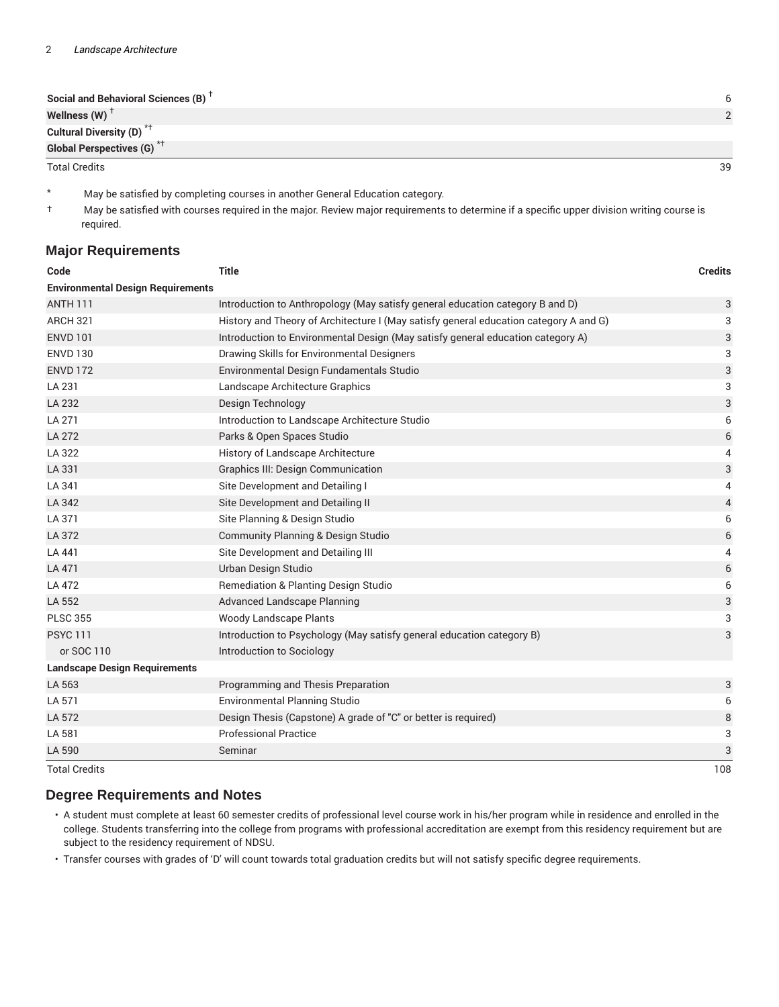| Social and Behavioral Sciences (B) <sup>T</sup> |    |
|-------------------------------------------------|----|
| Wellness (W) $^{\top}$                          |    |
| Cultural Diversity (D) <sup>*†</sup>            |    |
| <b>Global Perspectives (G)<sup>*†</sup></b>     |    |
| <b>Total Credits</b>                            | 39 |

- \* May be satisfied by completing courses in another General Education category.
- † May be satisfied with courses required in the major. Review major requirements to determine if a specific upper division writing course is required.

#### **Major Requirements**

| Code                                     | <b>Title</b>                                                                          | <b>Credits</b>            |
|------------------------------------------|---------------------------------------------------------------------------------------|---------------------------|
| <b>Environmental Design Requirements</b> |                                                                                       |                           |
| <b>ANTH 111</b>                          | Introduction to Anthropology (May satisfy general education category B and D)         | 3                         |
| <b>ARCH 321</b>                          | History and Theory of Architecture I (May satisfy general education category A and G) | 3                         |
| <b>ENVD 101</b>                          | Introduction to Environmental Design (May satisfy general education category A)       | 3                         |
| <b>ENVD 130</b>                          | Drawing Skills for Environmental Designers                                            | 3                         |
| <b>ENVD 172</b>                          | Environmental Design Fundamentals Studio                                              | $\ensuremath{\mathsf{3}}$ |
| LA 231                                   | Landscape Architecture Graphics                                                       | 3                         |
| LA 232                                   | Design Technology                                                                     | 3                         |
| LA 271                                   | Introduction to Landscape Architecture Studio                                         | 6                         |
| LA 272                                   | Parks & Open Spaces Studio                                                            | 6                         |
| LA 322                                   | History of Landscape Architecture                                                     | 4                         |
| LA 331                                   | <b>Graphics III: Design Communication</b>                                             | $\mathbf{3}$              |
| LA 341                                   | Site Development and Detailing I                                                      | 4                         |
| LA 342                                   | Site Development and Detailing II                                                     | 4                         |
| LA 371                                   | Site Planning & Design Studio                                                         | 6                         |
| LA 372                                   | <b>Community Planning &amp; Design Studio</b>                                         | $\,$ 6 $\,$               |
| LA 441                                   | Site Development and Detailing III                                                    | 4                         |
| LA 471                                   | Urban Design Studio                                                                   | $\,$ 6 $\,$               |
| LA 472                                   | <b>Remediation &amp; Planting Design Studio</b>                                       | 6                         |
| LA 552                                   | <b>Advanced Landscape Planning</b>                                                    | 3                         |
| <b>PLSC 355</b>                          | <b>Woody Landscape Plants</b>                                                         | 3                         |
| <b>PSYC 111</b>                          | Introduction to Psychology (May satisfy general education category B)                 | 3                         |
| or SOC 110                               | Introduction to Sociology                                                             |                           |
| <b>Landscape Design Requirements</b>     |                                                                                       |                           |
| LA 563                                   | Programming and Thesis Preparation                                                    | 3                         |
| LA 571                                   | <b>Environmental Planning Studio</b>                                                  | 6                         |
| LA 572                                   | Design Thesis (Capstone) A grade of "C" or better is required)                        | 8                         |
| LA 581                                   | <b>Professional Practice</b>                                                          | 3                         |
| LA 590                                   | Seminar                                                                               | 3                         |
| <b>Total Credits</b>                     |                                                                                       | 108                       |

#### **Degree Requirements and Notes**

• A student must complete at least 60 semester credits of professional level course work in his/her program while in residence and enrolled in the college. Students transferring into the college from programs with professional accreditation are exempt from this residency requirement but are subject to the residency requirement of NDSU.

• Transfer courses with grades of 'D' will count towards total graduation credits but will not satisfy specific degree requirements.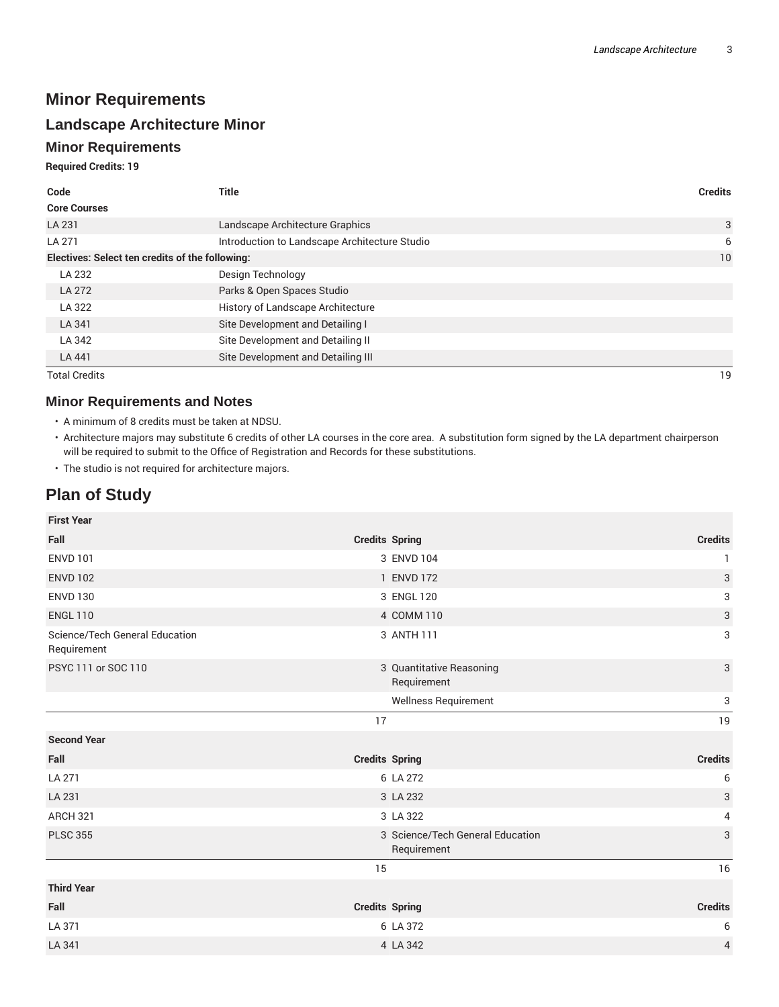## **Minor Requirements**

## **Landscape Architecture Minor**

## **Minor Requirements**

**Required Credits: 19**

| Code                                            | <b>Title</b>                                  | <b>Credits</b> |
|-------------------------------------------------|-----------------------------------------------|----------------|
| <b>Core Courses</b>                             |                                               |                |
| LA 231                                          | Landscape Architecture Graphics               | 3              |
| LA 271                                          | Introduction to Landscape Architecture Studio | 6              |
| Electives: Select ten credits of the following: |                                               | 10             |
| LA 232                                          | Design Technology                             |                |
| LA 272                                          | Parks & Open Spaces Studio                    |                |
| LA 322                                          | History of Landscape Architecture             |                |
| LA 341                                          | Site Development and Detailing I              |                |
| LA 342                                          | Site Development and Detailing II             |                |
| LA 441                                          | Site Development and Detailing III            |                |
| <b>Total Credits</b>                            |                                               | 19             |

## **Minor Requirements and Notes**

- A minimum of 8 credits must be taken at NDSU.
- Architecture majors may substitute 6 credits of other LA courses in the core area. A substitution form signed by the LA department chairperson will be required to submit to the Office of Registration and Records for these substitutions.
- The studio is not required for architecture majors.

## **Plan of Study**

| <b>First Year</b>                             |                                                 |                |
|-----------------------------------------------|-------------------------------------------------|----------------|
| Fall                                          | <b>Credits Spring</b>                           | <b>Credits</b> |
| <b>ENVD 101</b>                               | 3 ENVD 104                                      | 1              |
| <b>ENVD 102</b>                               | 1 ENVD 172                                      | 3              |
| <b>ENVD 130</b>                               | 3 ENGL 120                                      | 3              |
| <b>ENGL 110</b>                               | 4 COMM 110                                      | 3              |
| Science/Tech General Education<br>Requirement | 3 ANTH 111                                      | 3              |
| PSYC 111 or SOC 110                           | 3 Quantitative Reasoning<br>Requirement         | 3              |
|                                               | Wellness Requirement                            | 3              |
|                                               | 17                                              | 19             |
| <b>Second Year</b>                            |                                                 |                |
| Fall                                          | <b>Credits Spring</b>                           | <b>Credits</b> |
| LA 271                                        | 6 LA 272                                        | 6              |
| LA 231                                        | 3 LA 232                                        | 3              |
| ARCH 321                                      | 3 LA 322                                        | 4              |
| <b>PLSC 355</b>                               | 3 Science/Tech General Education<br>Requirement | 3              |
|                                               | 15                                              | 16             |
| <b>Third Year</b>                             |                                                 |                |
| Fall                                          | <b>Credits Spring</b>                           | <b>Credits</b> |
| LA 371                                        | 6 LA 372                                        | 6              |
| LA 341                                        | 4 LA 342                                        | $\overline{4}$ |
|                                               |                                                 |                |